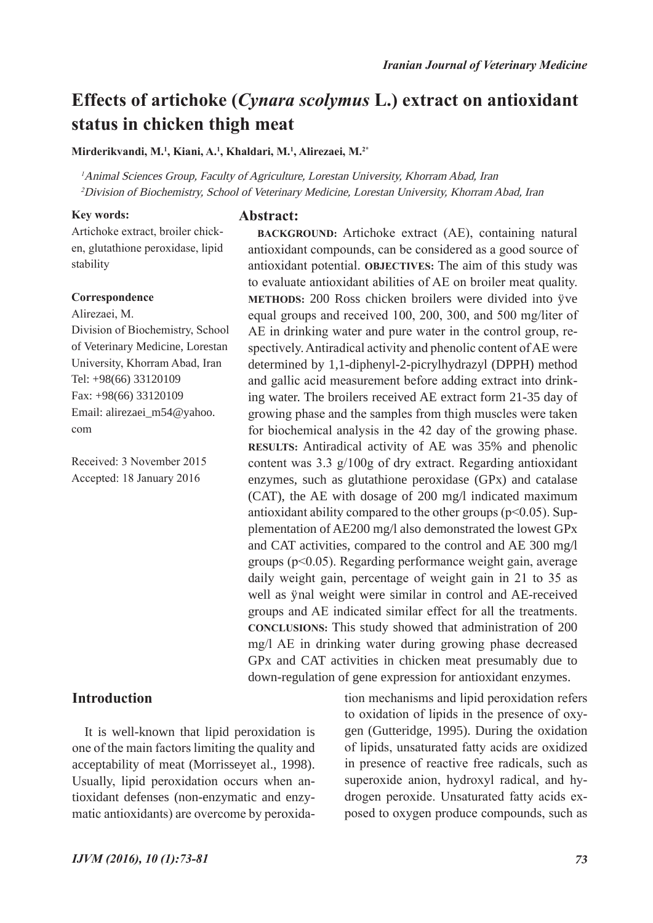**BACKGROUND:** Artichoke extract (AE), containing natural antioxidant compounds, can be considered as a good source of antioxidant potential. **OBJECTIVES:** The aim of this study was to evaluate antioxidant abilities of AE on broiler meat quality. METHODS: 200 Ross chicken broilers were divided into fve equal groups and received 100, 200, 300, and 500 mg/liter of AE in drinking water and pure water in the control group, respectively. Antiradical activity and phenolic content of AE were determined by 1,1-diphenyl-2-picrylhydrazyl (DPPH) method and gallic acid measurement before adding extract into drinking water. The broilers received AE extract form 21-35 day of growing phase and the samples from thigh muscles were taken for biochemical analysis in the 42 day of the growing phase. **RESULTS:** Antiradical activity of AE was 35% and phenolic content was 3.3 g/100g of dry extract. Regarding antioxidant enzymes, such as glutathione peroxidase (GPx) and catalase (CAT), the AE with dosage of 200 mg/l indicated maximum antioxidant ability compared to the other groups  $(p<0.05)$ . Supplementation of AE200 mg/l also demonstrated the lowest GPx and CAT activities, compared to the control and AE 300 mg/l groups (p<0.05). Regarding performance weight gain, average daily weight gain, percentage of weight gain in 21 to 35 as well as final weight were similar in control and AE-received groups and AE indicated similar effect for all the treatments. **CONCLUSIONS:** This study showed that administration of 200 mg/l AE in drinking water during growing phase decreased GPx and CAT activities in chicken meat presumably due to

# **Effects of artichoke (***Cynara scolymus* **L.) extract on antioxidant status in chicken thigh meat**

**Mirderikvandi, M.1 , Kiani, A.1 , Khaldari, M.1 , Alirezaei, M.2\***

<sup>1</sup> Animal Sciences Group, Faculty of Agriculture, Lorestan University, Khorram Abad, Iran <sup>2</sup>Division of Biochemistry, School of Veterinary Medicine, Lorestan University, Khorram Abad, Iran

#### **Key words:**

**Abstract:**

Artichoke extract, broiler chicken, glutathione peroxidase, lipid stability

### **Correspondence**

Alirezaei, M. Division of Biochemistry, School of Veterinary Medicine, Lorestan University, Khorram Abad, Iran Tel: +98(66) 33120109 Fax: +98(66) 33120109 Email: alirezaei\_m54@yahoo. com

Received: 3 November 2015 Accepted: 18 January 2016

# **Introduction**

It is well-known that lipid peroxidation is one of the main factors limiting the quality and acceptability of meat (Morrisseyet al., 1998). Usually, lipid peroxidation occurs when antioxidant defenses (non-enzymatic and enzymatic antioxidants) are overcome by peroxida-

down-regulation of gene expression for antioxidant enzymes. tion mechanisms and lipid peroxidation refers to oxidation of lipids in the presence of oxygen (Gutteridge, 1995). During the oxidation of lipids, unsaturated fatty acids are oxidized in presence of reactive free radicals, such as superoxide anion, hydroxyl radical, and hydrogen peroxide. Unsaturated fatty acids exposed to oxygen produce compounds, such as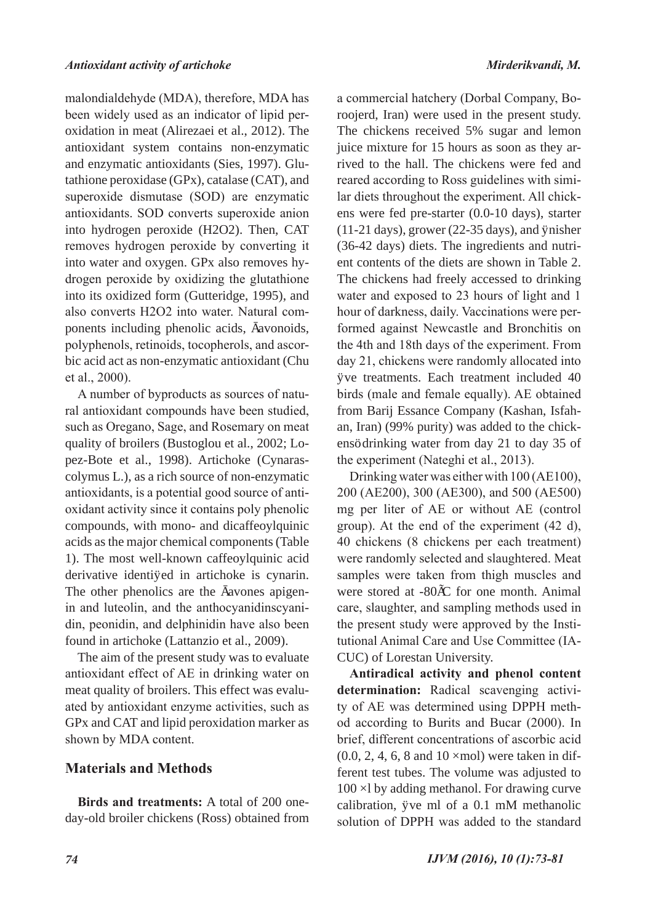malondialdehyde (MDA), therefore, MDA has been widely used as an indicator of lipid peroxidation in meat (Alirezaei et al., 2012). The antioxidant system contains non-enzymatic and enzymatic antioxidants (Sies, 1997). Glutathione peroxidase (GPx), catalase (CAT), and superoxide dismutase (SOD) are enzymatic antioxidants. SOD converts superoxide anion into hydrogen peroxide (H2O2). Then, CAT removes hydrogen peroxide by converting it into water and oxygen. GPx also removes hydrogen peroxide by oxidizing the glutathione into its oxidized form (Gutteridge, 1995), and also converts H2O2 into water. Natural components including phenolic acids, favonoids, polyphenols, retinoids, tocopherols, and ascorbic acid act as non-enzymatic antioxidant (Chu et al., 2000).

A number of byproducts as sources of natural antioxidant compounds have been studied, such as Oregano, Sage, and Rosemary on meat quality of broilers (Bustoglou et al., 2002; Lopez-Bote et al., 1998). Artichoke (Cynarascolymus L.), as a rich source of non-enzymatic antioxidants, is a potential good source of antioxidant activity since it contains poly phenolic compounds, with mono- and dicaffeoylquinic acids as the major chemical components (Table 1). The most well-known caffeoylquinic acid derivative identifed in artichoke is cynarin. The other phenolics are the flavones apigenin and luteolin, and the anthocyanidinscyanidin, peonidin, and delphinidin have also been found in artichoke (Lattanzio et al., 2009).

The aim of the present study was to evaluate antioxidant effect of AE in drinking water on meat quality of broilers. This effect was evaluated by antioxidant enzyme activities, such as GPx and CAT and lipid peroxidation marker as shown by MDA content.

## **Materials and Methods**

**Birds and treatments:** A total of 200 oneday-old broiler chickens (Ross) obtained from

a commercial hatchery (Dorbal Company, Boroojerd, Iran) were used in the present study. The chickens received 5% sugar and lemon juice mixture for 15 hours as soon as they arrived to the hall. The chickens were fed and reared according to Ross guidelines with similar diets throughout the experiment. All chickens were fed pre-starter (0.0-10 days), starter (11-21 days), grower (22-35 days), and finisher (36-42 days) diets. The ingredients and nutrient contents of the diets are shown in Table 2. The chickens had freely accessed to drinking water and exposed to 23 hours of light and 1 hour of darkness, daily. Vaccinations were performed against Newcastle and Bronchitis on the 4th and 18th days of the experiment. From day 21, chickens were randomly allocated into fve treatments. Each treatment included 40 birds (male and female equally). AE obtained from Barij Essance Company (Kashan, Isfahan, Iran) (99% purity) was added to the chickens' drinking water from day 21 to day 35 of the experiment (Nateghi et al., 2013).

Drinking water was either with 100 (AE100), 200 (AE200), 300 (AE300), and 500 (AE500) mg per liter of AE or without AE (control group). At the end of the experiment (42 d), 40 chickens (8 chickens per each treatment) were randomly selected and slaughtered. Meat samples were taken from thigh muscles and were stored at -80°C for one month. Animal care, slaughter, and sampling methods used in the present study were approved by the Institutional Animal Care and Use Committee (IA-CUC) of Lorestan University.

**Antiradical activity and phenol content determination:** Radical scavenging activity of AE was determined using DPPH method according to Burits and Bucar (2000). In brief, different concentrations of ascorbic acid  $(0.0, 2, 4, 6, 8, and 10, and 10)$  were taken in different test tubes. The volume was adjusted to 100 µl by adding methanol. For drawing curve calibration, five ml of a  $0.1$  mM methanolic solution of DPPH was added to the standard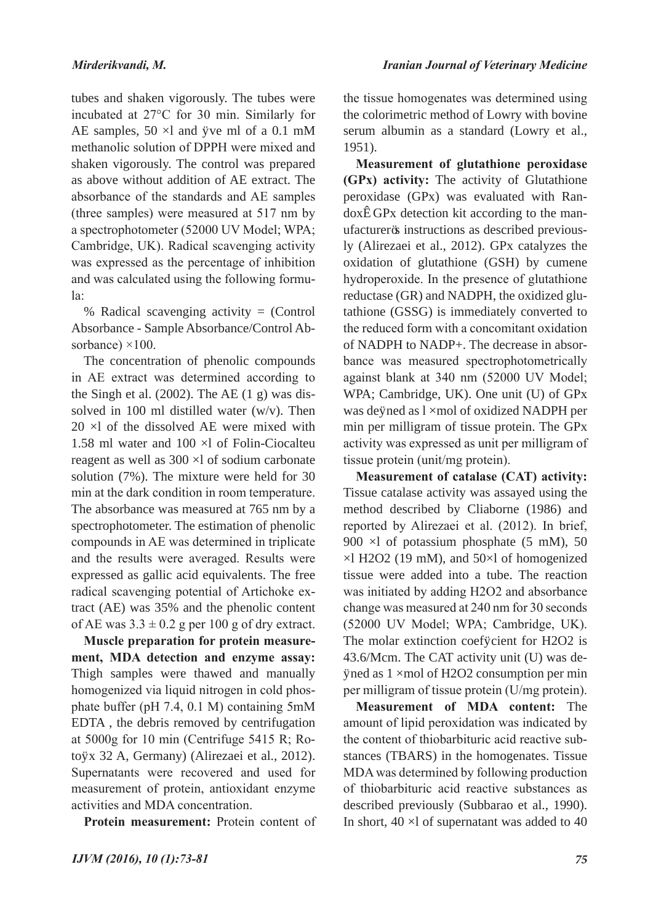tubes and shaken vigorously. The tubes were incubated at 27°C for 30 min. Similarly for AE samples, 50 µl and fve ml of a 0.1 mM methanolic solution of DPPH were mixed and shaken vigorously. The control was prepared as above without addition of AE extract. The absorbance of the standards and AE samples (three samples) were measured at 517 nm by a spectrophotometer (52000 UV Model; WPA; Cambridge, UK). Radical scavenging activity was expressed as the percentage of inhibition and was calculated using the following formula:

% Radical scavenging activity = (Control Absorbance - Sample Absorbance/Control Absorbance) ×100.

The concentration of phenolic compounds in AE extract was determined according to the Singh et al.  $(2002)$ . The AE  $(1 \text{ g})$  was dissolved in 100 ml distilled water (w/v). Then 20 µl of the dissolved AE were mixed with 1.58 ml water and 100 µl of Folin-Ciocalteu reagent as well as 300 µl of sodium carbonate solution (7%). The mixture were held for 30 min at the dark condition in room temperature. The absorbance was measured at 765 nm by a spectrophotometer. The estimation of phenolic compounds in AE was determined in triplicate and the results were averaged. Results were expressed as gallic acid equivalents. The free radical scavenging potential of Artichoke extract (AE) was 35% and the phenolic content of AE was  $3.3 \pm 0.2$  g per 100 g of dry extract.

**Muscle preparation for protein measurement, MDA detection and enzyme assay:**  Thigh samples were thawed and manually homogenized via liquid nitrogen in cold phosphate buffer (pH 7.4, 0.1 M) containing 5mM EDTA , the debris removed by centrifugation at 5000g for 10 min (Centrifuge 5415 R; Rotofx 32 A, Germany) (Alirezaei et al., 2012). Supernatants were recovered and used for measurement of protein, antioxidant enzyme activities and MDA concentration.

**Protein measurement:** Protein content of

the tissue homogenates was determined using the colorimetric method of Lowry with bovine serum albumin as a standard (Lowry et al., 1951).

**Measurement of glutathione peroxidase (GPx) activity:** The activity of Glutathione peroxidase (GPx) was evaluated with Randox®GPx detection kit according to the manufacturer's instructions as described previously (Alirezaei et al., 2012). GPx catalyzes the oxidation of glutathione (GSH) by cumene hydroperoxide. In the presence of glutathione reductase (GR) and NADPH, the oxidized glutathione (GSSG) is immediately converted to the reduced form with a concomitant oxidation of NADPH to NADP+. The decrease in absorbance was measured spectrophotometrically against blank at 340 nm (52000 UV Model; WPA; Cambridge, UK). One unit (U) of GPx was defined as l µmol of oxidized NADPH per min per milligram of tissue protein. The GPx activity was expressed as unit per milligram of tissue protein (unit/mg protein).

**Measurement of catalase (CAT) activity:**  Tissue catalase activity was assayed using the method described by Cliaborne (1986) and reported by Alirezaei et al. (2012). In brief, 900 µl of potassium phosphate (5 mM), 50 µl H2O2 (19 mM), and 50µl of homogenized tissue were added into a tube. The reaction was initiated by adding H2O2 and absorbance change was measured at 240 nm for 30 seconds (52000 UV Model; WPA; Cambridge, UK). The molar extinction coefficient for H2O2 is 43.6/Mcm. The CAT activity unit (U) was defined as 1 µmol of H2O2 consumption per min per milligram of tissue protein (U/mg protein).

**Measurement of MDA content:** The amount of lipid peroxidation was indicated by the content of thiobarbituric acid reactive substances (TBARS) in the homogenates. Tissue MDA was determined by following production of thiobarbituric acid reactive substances as described previously (Subbarao et al., 1990). In short, 40 µl of supernatant was added to 40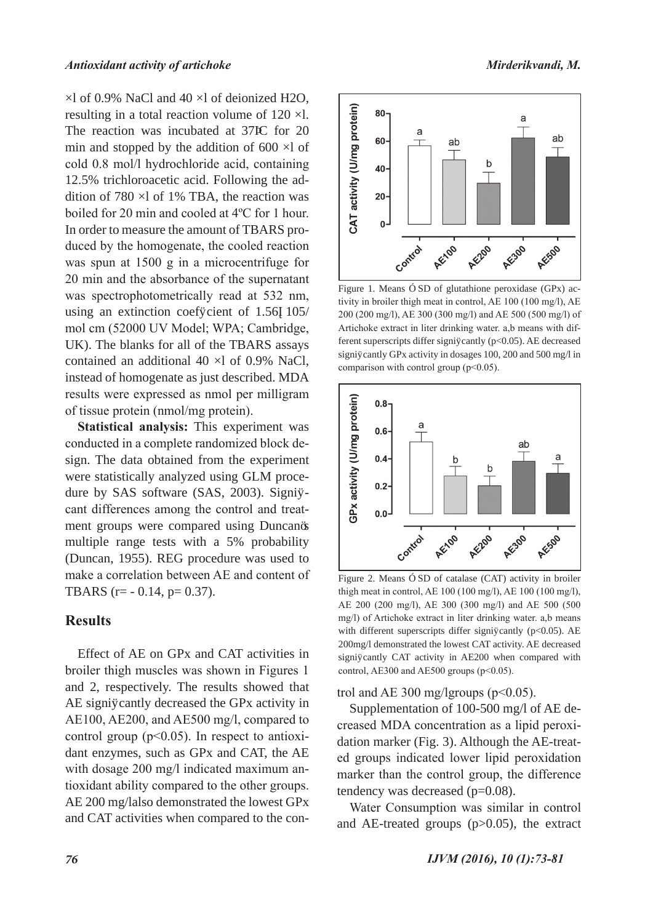µl of 0.9% NaCl and 40 µl of deionized H2O, resulting in a total reaction volume of 120 µl. The reaction was incubated at 37ºC for 20 min and stopped by the addition of 600 µl of cold 0.8 mol/l hydrochloride acid, containing 12.5% trichloroacetic acid. Following the addition of 780 µl of 1% TBA, the reaction was boiled for 20 min and cooled at 4ºC for 1 hour. In order to measure the amount of TBARS produced by the homogenate, the cooled reaction was spun at 1500 g in a microcentrifuge for 20 min and the absorbance of the supernatant was spectrophotometrically read at 532 nm, using an extinction coefficient of  $1.56\times105/$ mol cm (52000 UV Model; WPA; Cambridge, UK). The blanks for all of the TBARS assays contained an additional 40 µl of 0.9% NaCl, instead of homogenate as just described. MDA results were expressed as nmol per milligram of tissue protein (nmol/mg protein).

**Statistical analysis:** This experiment was conducted in a complete randomized block design. The data obtained from the experiment were statistically analyzed using GLM procedure by SAS software (SAS, 2003). Signifcant differences among the control and treatment groups were compared using Duncan's multiple range tests with a 5% probability (Duncan, 1955). REG procedure was used to make a correlation between AE and content of TBARS ( $r = -0.14$ ,  $p = 0.37$ ).

## **Results**

Effect of AE on GPx and CAT activities in broiler thigh muscles was shown in Figures 1 and 2, respectively. The results showed that AE significantly decreased the GP<sub>x</sub> activity in AE100, AE200, and AE500 mg/l, compared to control group  $(p<0.05)$ . In respect to antioxidant enzymes, such as GPx and CAT, the AE with dosage 200 mg/l indicated maximum antioxidant ability compared to the other groups. AE 200 mg/lalso demonstrated the lowest GPx and CAT activities when compared to the con-



Figure 1. Means  $\pm$  SD of glutathione peroxidase (GPx) activity in broiler thigh meat in control, AE 100 (100 mg/l), AE 200 (200 mg/l), AE 300 (300 mg/l) and AE 500 (500 mg/l) of Artichoke extract in liter drinking water. a,b means with different superscripts differ significantly ( $p<0.05$ ). AE decreased significantly GPx activity in dosages 100, 200 and 500 mg/l in comparison with control group ( $p<0.05$ ).



Figure 2. Means  $\pm$  SD of catalase (CAT) activity in broiler thigh meat in control, AE 100 (100 mg/l), AE 100 (100 mg/l), AE 200 (200 mg/l), AE 300 (300 mg/l) and AE 500 (500 mg/l) of Artichoke extract in liter drinking water. a,b means with different superscripts differ significantly ( $p<0.05$ ). AE 200mg/l demonstrated the lowest CAT activity. AE decreased significantly CAT activity in AE200 when compared with control, AE300 and AE500 groups  $(p<0.05)$ .

trol and AE 300 mg/lgroups ( $p<0.05$ ).

Supplementation of 100-500 mg/l of AE decreased MDA concentration as a lipid peroxidation marker (Fig. 3). Although the AE-treated groups indicated lower lipid peroxidation marker than the control group, the difference tendency was decreased (p=0.08).

Water Consumption was similar in control and AE-treated groups (p>0.05), the extract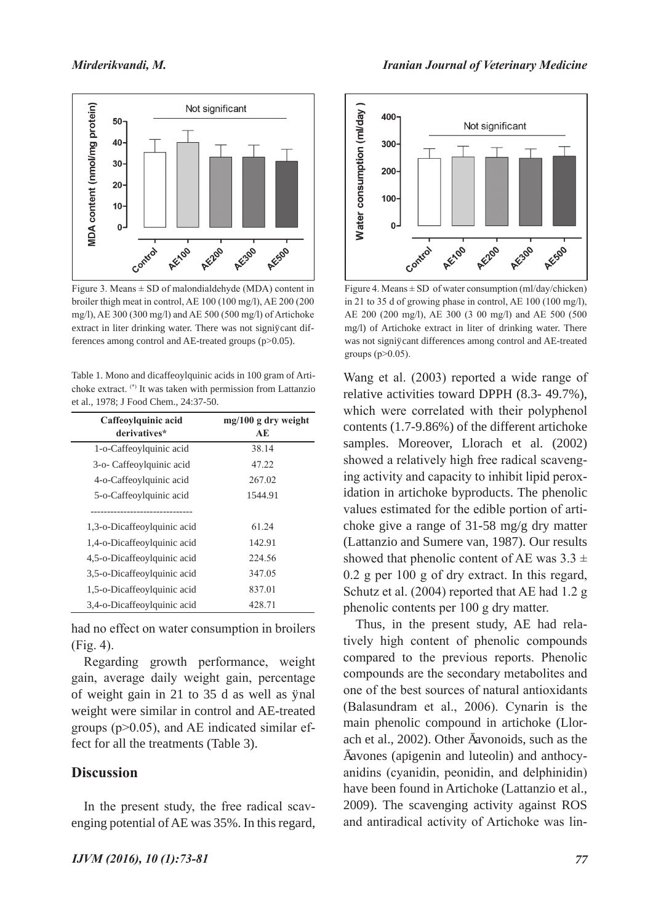

Figure 3. Means  $\pm$  SD of malondialdehyde (MDA) content in broiler thigh meat in control, AE 100 (100 mg/l), AE 200 (200 mg/l), AE 300 (300 mg/l) and AE 500 (500 mg/l) of Artichoke extract in liter drinking water. There was not significant differences among control and AE-treated groups (p>0.05).

Table 1. Mono and dicaffeoylquinic acids in 100 gram of Artichoke extract. (\*) It was taken with permission from Lattanzio et al., 1978; J Food Chem., 24:37-50.

| Caffeoylquinic acid         | mg/100 g dry weight     |  |  |  |
|-----------------------------|-------------------------|--|--|--|
| derivatives*                | $\mathbf{A} \mathbf{E}$ |  |  |  |
| 1-o-Caffeoylquinic acid     | 38.14                   |  |  |  |
| 3-o- Caffeoylquinic acid    | 47.22                   |  |  |  |
| 4-o-Caffeoylquinic acid     | 267.02                  |  |  |  |
| 5-o-Caffeoylquinic acid     | 1544.91                 |  |  |  |
|                             |                         |  |  |  |
| 1,3-o-Dicaffeoylquinic acid | 61.24                   |  |  |  |
| 1,4-o-Dicaffeoylquinic acid | 142.91                  |  |  |  |
| 4,5-o-Dicaffeoylquinic acid | 224.56                  |  |  |  |
| 3,5-o-Dicaffeoylquinic acid | 347.05                  |  |  |  |
| 1,5-o-Dicaffeoylquinic acid | 837.01                  |  |  |  |
| 3,4-o-Dicaffeoylquinic acid | 428.71                  |  |  |  |

had no effect on water consumption in broilers (Fig. 4).

Regarding growth performance, weight gain, average daily weight gain, percentage of weight gain in 21 to 35 d as well as final weight were similar in control and AE-treated groups (p>0.05), and AE indicated similar effect for all the treatments (Table 3).

## **Discussion**

In the present study, the free radical scavenging potential of AE was 35%. In this regard,



Figure 4. Means  $\pm$  SD of water consumption (ml/day/chicken) in 21 to 35 d of growing phase in control, AE 100 (100 mg/l), AE 200 (200 mg/l), AE 300 (3 00 mg/l) and AE 500 (500 mg/l) of Artichoke extract in liter of drinking water. There was not significant differences among control and AE-treated groups ( $p > 0.05$ ).

Wang et al. (2003) reported a wide range of relative activities toward DPPH (8.3- 49.7%), which were correlated with their polyphenol contents (1.7-9.86%) of the different artichoke samples. Moreover, Llorach et al. (2002) showed a relatively high free radical scavenging activity and capacity to inhibit lipid peroxidation in artichoke byproducts. The phenolic values estimated for the edible portion of artichoke give a range of 31-58 mg/g dry matter (Lattanzio and Sumere van, 1987). Our results showed that phenolic content of AE was  $3.3 \pm$ 0.2 g per 100 g of dry extract. In this regard, Schutz et al. (2004) reported that AE had 1.2 g phenolic contents per 100 g dry matter.

Thus, in the present study, AE had relatively high content of phenolic compounds compared to the previous reports. Phenolic compounds are the secondary metabolites and one of the best sources of natural antioxidants (Balasundram et al., 2006). Cynarin is the main phenolic compound in artichoke (Llorach et al., 2002). Other favonoids, such as the flavones (apigenin and luteolin) and anthocyanidins (cyanidin, peonidin, and delphinidin) have been found in Artichoke (Lattanzio et al., 2009). The scavenging activity against ROS and antiradical activity of Artichoke was lin-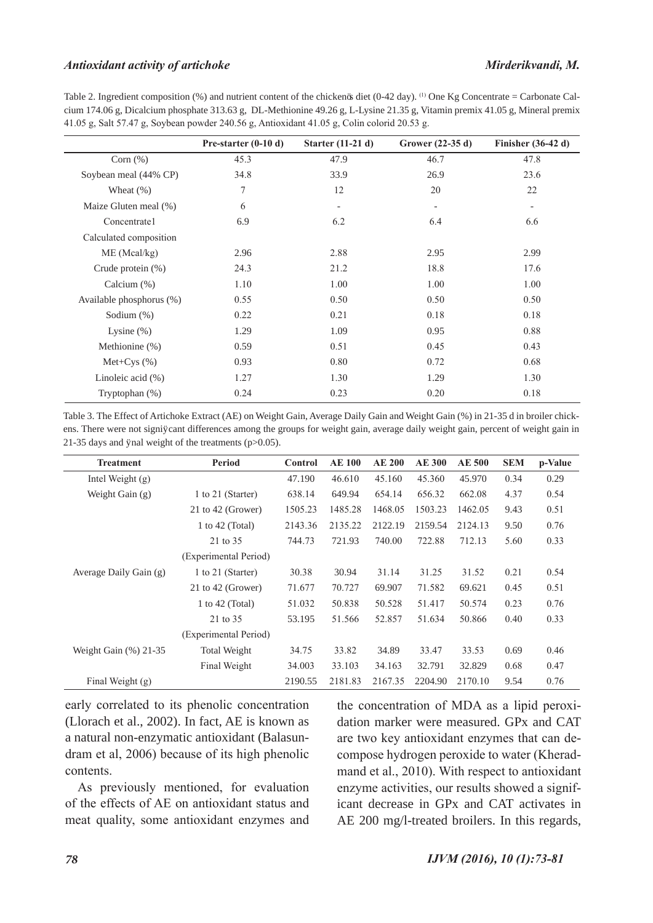#### *Antioxidant activity of artichoke Mirderikvandi, M.*

Table 2. Ingredient composition (%) and nutrient content of the chicken's diet (0-42 day). (1) One Kg Concentrate = Carbonate Calcium 174.06 g, Dicalcium phosphate 313.63 g, DL-Methionine 49.26 g, L-Lysine 21.35 g, Vitamin premix 41.05 g, Mineral premix 41.05 g, Salt 57.47 g, Soybean powder 240.56 g, Antioxidant 41.05 g, Colin colorid 20.53 g.

|                          | Pre-starter $(0-10 d)$ | Starter (11-21 d) | Grower (22-35 d) | Finisher $(36-42 d)$     |
|--------------------------|------------------------|-------------------|------------------|--------------------------|
| Corn $(\% )$             | 45.3                   | 47.9              | 46.7             | 47.8                     |
| Soybean meal (44% CP)    | 34.8                   | 33.9              | 26.9             | 23.6                     |
| Wheat $(\%)$             | 7                      | 12                | 20               | 22                       |
| Maize Gluten meal (%)    | 6                      |                   |                  | $\overline{\phantom{a}}$ |
| Concentrate1             | 6.9                    | 6.2               | 6.4              | 6.6                      |
| Calculated composition   |                        |                   |                  |                          |
| ME (Meal/kg)             | 2.96                   | 2.88              | 2.95             | 2.99                     |
| Crude protein $(\%)$     | 24.3                   | 21.2              | 18.8             | 17.6                     |
| Calcium $(\%)$           | 1.10                   | 1.00              | 1.00             | 1.00                     |
| Available phosphorus (%) | 0.55                   | 0.50              | 0.50             | 0.50                     |
| Sodium $(\%)$            | 0.22                   | 0.21              | 0.18             | 0.18                     |
| Lysine $(\% )$           | 1.29                   | 1.09              | 0.95             | 0.88                     |
| Methionine (%)           | 0.59                   | 0.51              | 0.45             | 0.43                     |
| Met+Cys $(\%)$           | 0.93                   | 0.80              | 0.72             | 0.68                     |
| Linoleic acid $(\% )$    | 1.27                   | 1.30              | 1.29             | 1.30                     |
| Tryptophan $(\%)$        | 0.24                   | 0.23              | 0.20             | 0.18                     |

Table 3. The Effect of Artichoke Extract (AE) on Weight Gain, Average Daily Gain and Weight Gain (%) in 21-35 d in broiler chickens. There were not significant differences among the groups for weight gain, average daily weight gain, percent of weight gain in 21-35 days and final weight of the treatments ( $p > 0.05$ ).

| <b>Treatment</b>         | Period                | Control | <b>AE 100</b> | <b>AE 200</b> | <b>AE 300</b> | <b>AE 500</b> | <b>SEM</b> | p-Value |
|--------------------------|-----------------------|---------|---------------|---------------|---------------|---------------|------------|---------|
| Intel Weight $(g)$       |                       | 47.190  | 46.610        | 45.160        | 45.360        | 45.970        | 0.34       | 0.29    |
| Weight Gain $(g)$        | 1 to 21 (Starter)     | 638.14  | 649.94        | 654.14        | 656.32        | 662.08        | 4.37       | 0.54    |
|                          | 21 to 42 (Grower)     | 1505.23 | 1485.28       | 1468.05       | 1503.23       | 1462.05       | 9.43       | 0.51    |
|                          | 1 to 42 (Total)       | 2143.36 | 2135.22       | 2122.19       | 2159.54       | 2124.13       | 9.50       | 0.76    |
|                          | 21 to 35              | 744.73  | 721.93        | 740.00        | 722.88        | 712.13        | 5.60       | 0.33    |
|                          | (Experimental Period) |         |               |               |               |               |            |         |
| Average Daily Gain (g)   | 1 to 21 (Starter)     | 30.38   | 30.94         | 31.14         | 31.25         | 31.52         | 0.21       | 0.54    |
|                          | 21 to 42 (Grower)     | 71.677  | 70.727        | 69.907        | 71.582        | 69.621        | 0.45       | 0.51    |
|                          | 1 to 42 (Total)       | 51.032  | 50.838        | 50.528        | 51.417        | 50.574        | 0.23       | 0.76    |
|                          | 21 to 35              | 53.195  | 51.566        | 52.857        | 51.634        | 50.866        | 0.40       | 0.33    |
|                          | (Experimental Period) |         |               |               |               |               |            |         |
| Weight Gain $(\%)$ 21-35 | <b>Total Weight</b>   | 34.75   | 33.82         | 34.89         | 33.47         | 33.53         | 0.69       | 0.46    |
|                          | Final Weight          | 34.003  | 33.103        | 34.163        | 32.791        | 32.829        | 0.68       | 0.47    |
| Final Weight $(g)$       |                       | 2190.55 | 2181.83       | 2167.35       | 2204.90       | 2170.10       | 9.54       | 0.76    |

early correlated to its phenolic concentration (Llorach et al., 2002). In fact, AE is known as a natural non-enzymatic antioxidant (Balasundram et al, 2006) because of its high phenolic contents.

As previously mentioned, for evaluation of the effects of AE on antioxidant status and meat quality, some antioxidant enzymes and

the concentration of MDA as a lipid peroxidation marker were measured. GPx and CAT are two key antioxidant enzymes that can decompose hydrogen peroxide to water (Kheradmand et al., 2010). With respect to antioxidant enzyme activities, our results showed a significant decrease in GPx and CAT activates in AE 200 mg/l-treated broilers. In this regards,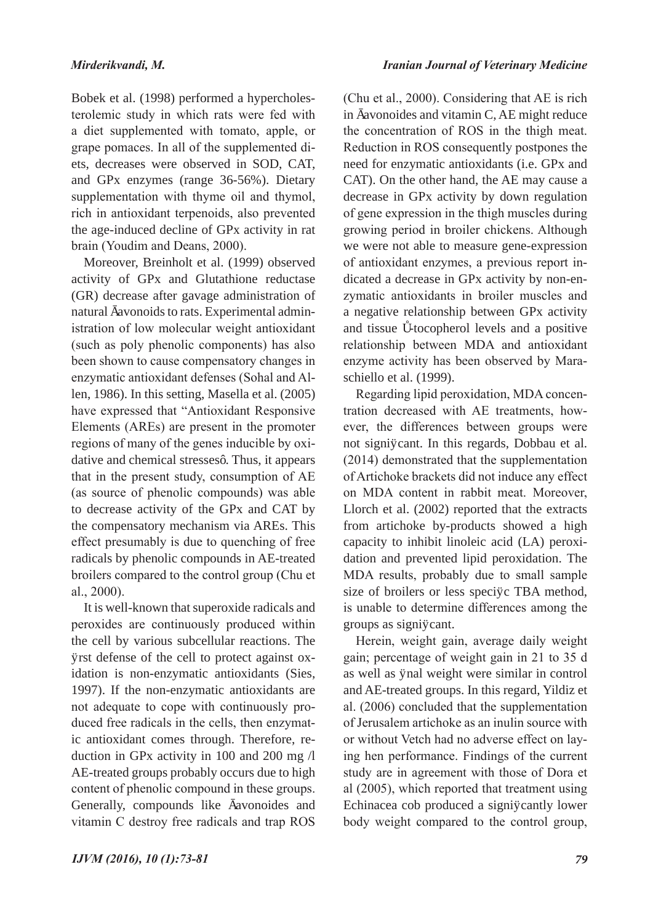Bobek et al. (1998) performed a hypercholesterolemic study in which rats were fed with a diet supplemented with tomato, apple, or grape pomaces. In all of the supplemented diets, decreases were observed in SOD, CAT, and GPx enzymes (range 36-56%). Dietary supplementation with thyme oil and thymol, rich in antioxidant terpenoids, also prevented the age-induced decline of GPx activity in rat brain (Youdim and Deans, 2000).

Moreover, Breinholt et al. (1999) observed activity of GPx and Glutathione reductase (GR) decrease after gavage administration of natural favonoids to rats. Experimental administration of low molecular weight antioxidant (such as poly phenolic components) has also been shown to cause compensatory changes in enzymatic antioxidant defenses (Sohal and Allen, 1986). In this setting, Masella et al. (2005) have expressed that "Antioxidant Responsive Elements (AREs) are present in the promoter regions of many of the genes inducible by oxidative and chemical stresses". Thus, it appears that in the present study, consumption of AE (as source of phenolic compounds) was able to decrease activity of the GPx and CAT by the compensatory mechanism via AREs. This effect presumably is due to quenching of free radicals by phenolic compounds in AE-treated broilers compared to the control group (Chu et al., 2000).

It is well-known that superoxide radicals and peroxides are continuously produced within the cell by various subcellular reactions. The frst defense of the cell to protect against oxidation is non-enzymatic antioxidants (Sies, 1997). If the non-enzymatic antioxidants are not adequate to cope with continuously produced free radicals in the cells, then enzymatic antioxidant comes through. Therefore, reduction in GPx activity in 100 and 200 mg /l AE-treated groups probably occurs due to high content of phenolic compound in these groups. Generally, compounds like favonoides and vitamin C destroy free radicals and trap ROS

(Chu et al., 2000). Considering that AE is rich in favonoides and vitamin C, AE might reduce the concentration of ROS in the thigh meat. Reduction in ROS consequently postpones the need for enzymatic antioxidants (i.e. GPx and CAT). On the other hand, the AE may cause a decrease in GPx activity by down regulation of gene expression in the thigh muscles during growing period in broiler chickens. Although we were not able to measure gene-expression of antioxidant enzymes, a previous report indicated a decrease in GPx activity by non-enzymatic antioxidants in broiler muscles and a negative relationship between GPx activity and tissue -tocopherol levels and a positive relationship between MDA and antioxidant enzyme activity has been observed by Maraschiello et al. (1999).

Regarding lipid peroxidation, MDA concentration decreased with AE treatments, however, the differences between groups were not significant. In this regards, Dobbau et al. (2014) demonstrated that the supplementation of Artichoke brackets did not induce any effect on MDA content in rabbit meat. Moreover, Llorch et al. (2002) reported that the extracts from artichoke by-products showed a high capacity to inhibit linoleic acid (LA) peroxidation and prevented lipid peroxidation. The MDA results, probably due to small sample size of broilers or less specific TBA method, is unable to determine differences among the groups as significant.

Herein, weight gain, average daily weight gain; percentage of weight gain in 21 to 35 d as well as final weight were similar in control and AE-treated groups. In this regard, Yildiz et al. (2006) concluded that the supplementation of Jerusalem artichoke as an inulin source with or without Vetch had no adverse effect on laying hen performance. Findings of the current study are in agreement with those of Dora et al (2005), which reported that treatment using Echinacea cob produced a significantly lower body weight compared to the control group,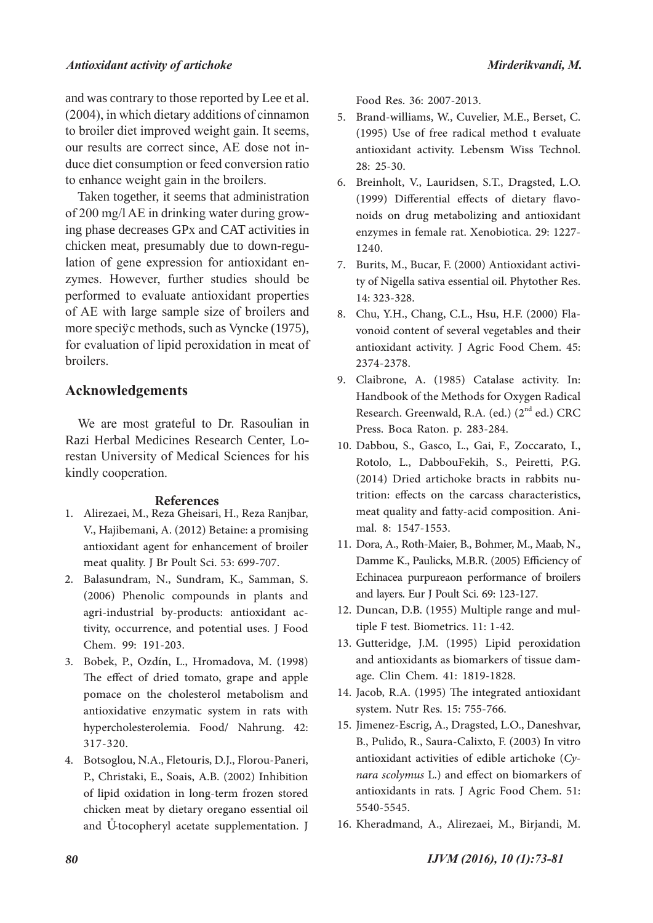and was contrary to those reported by Lee et al. (2004), in which dietary additions of cinnamon to broiler diet improved weight gain. It seems, our results are correct since, AE dose not induce diet consumption or feed conversion ratio to enhance weight gain in the broilers.

Taken together, it seems that administration of 200 mg/l AE in drinking water during growing phase decreases GPx and CAT activities in chicken meat, presumably due to down-regulation of gene expression for antioxidant enzymes. However, further studies should be performed to evaluate antioxidant properties of AE with large sample size of broilers and more specific methods, such as Vyncke (1975), for evaluation of lipid peroxidation in meat of broilers.

## **Acknowledgements**

We are most grateful to Dr. Rasoulian in Razi Herbal Medicines Research Center, Lorestan University of Medical Sciences for his kindly cooperation.

#### **References**

- Alirezaei, M., Reza Gheisari, H., Reza Ranjbar, 1. V., Hajibemani, A. (2012) Betaine: a promising antioxidant agent for enhancement of broiler meat quality. J Br Poult Sci. 53: 699-707.
- Balasundram, N., Sundram, K., Samman, S. 2. (2006) Phenolic compounds in plants and tivity, occurrence, and potential uses. J Food Chem. 99: 191-203.
- Bobek, P., Ozdín, L., Hromadova, M. (1998) 3. The effect of dried tomato, grape and apple pomace on the cholesterol metabolism and antioxidative enzymatic system in rats with hypercholesterolemia. Food/ Nahrung. 42: 317-320.
- Botsoglou, N.A., Fletouris, D.J., Florou-Paneri, 4. P., Christaki, E., Soais, A.B. (2002) Inhibition of lipid oxidation in long-term frozen stored chicken meat by dietary oregano essential oil and -tocopheryl acetate supplementation. J

Food Res. 36: 2007-2013.

- Brand-williams, W., Cuvelier, M.E., Berset, C. 5. (1995) Use of free radical method t evaluate antioxidant activity. Lebensm Wiss Technol. 28: 25-30.
- Breinholt, V., Lauridsen, S.T., Dragsted, L.O. 6. (1999) Differential effects of dietary flavo- noids on drug metabolizing and antioxidant enzymes in female rat. Xenobiotica. 29: 1227- 1240.
- ty of Nigella sativa essential oil. Phytother Res. 14: 323-328. 7. Burits, M., Bucar, F. (2000) Antioxidant activi-
- vonoid content of several vegetables and their antioxidant activity. J Agric Food Chem. 45: 2374-2378. 8. Chu, Y.H., Chang, C.L., Hsu, H.F. (2000) Fla-
- Claibrone, A. (1985) Catalase activity. In: 9. Handbook of the Methods for Oxygen Radical Research. Greenwald, R.A. (ed.) (2<sup>nd</sup> ed.) CRC Press. Boca Raton. p. 283-284.
- Dabbou, S., Gasco, L., Gai, F., Zoccarato, I., 10. Rotolo, L., DabbouFekih, S., Peiretti, P.G. (2014) Dried artichoke bracts in rabbits nu- trition: effects on the carcass characteristics, meat quality and fatty-acid composition. Ani- mal. 8: 1547-1553.
- 11. Dora, A., Roth-Maier, B., Bohmer, M., Maab, N., Damme K., Paulicks, M.B.R. (2005) Efficiency of Echinacea purpureaon performance of broilers and layers. Eur J Poult Sci. 69: 123-127.
- 12. Duncan, D.B. (1955) Multiple range and multiple F test. Biometrics. 11: 1-42.
- 13. Gutteridge, J.M. (1995) Lipid peroxidation and antioxidants as biomarkers of tissue dam- age. Clin Chem. 41: 1819-1828.
- 14. Jacob, R.A. (1995) The integrated antioxidant system. Nutr Res. 15: 755-766.
- 15. Jimenez-Escrig, A., Dragsted, L.O., Daneshvar, B., Pulido, R., Saura-Calixto, F. (2003) In vitro antioxidant activities of edible artichoke (Cy*nara scolymus* L.) and effect on biomarkers of antioxidants in rats. J Agric Food Chem. 51: 5540-5545.
- 16. Kheradmand, A., Alirezaei, M., Birjandi, M.